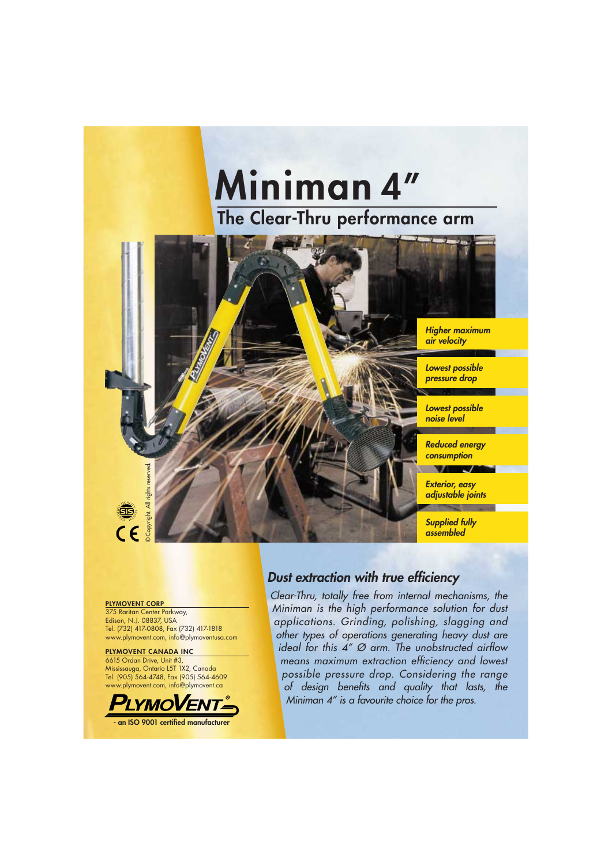# **The Clear-Thru performance arm Miniman 4"**



#### **PLYMOVENT CORP**

375 Raritan Center Parkway, Edison, N.J. 08837, USA Tel. (732) 417-0808, Fax (732) 417-1818 www.plymovent.com, info@plymoventusa.com

#### **PLYMOVENT CANADA INC**

6615 Ordan Drive, Unit #3, Mississauga, Ontario L5T 1X2, Canada Tel. (905) 564-4748, Fax (905) 564-4609 www.plymovent.com, info@plymovent.ca



**- an ISO 9001 certified manufacturer** 

### *Dust extraction with true efficiency*

*Clear-Thru, totally free from internal mechanisms, the Miniman is the high performance solution for dust applications. Grinding, polishing, slagging and other types of operations generating heavy dust are ideal for this 4" Ø arm. The unobstructed airflow means maximum extraction efficiency and lowest possible pressure drop. Considering the range*  of design benefits and quality that lasts, the *Miniman 4" is a favourite choice for the pros.*